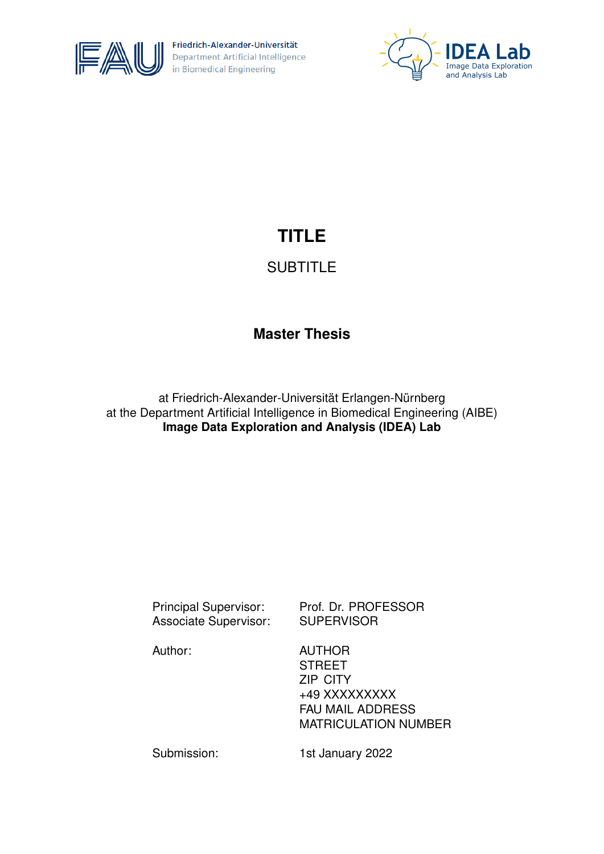<span id="page-0-0"></span>

Friedrich-Alexander-Universität **Department Artificial Intelligence**<br>in Biomedical Engineering



# **TITLE**

# **SUBTITLE**

# **Master Thesis**

at Friedrich-Alexander-Universität Erlangen-Nürnberg at the Department Artificial Intelligence in Biomedical Engineering (AIBE) **Image Data Exploration and Analysis (IDEA) Lab**

Associate Supervisor: SUPERVISOR

Principal Supervisor: Prof. Dr. PROFESSOR

Author: AUTHOR

**STREET** ZIP CITY +49 XXXXXXXXX FAU MAIL ADDRESS MATRICULATION NUMBER

Submission: 1st January 2022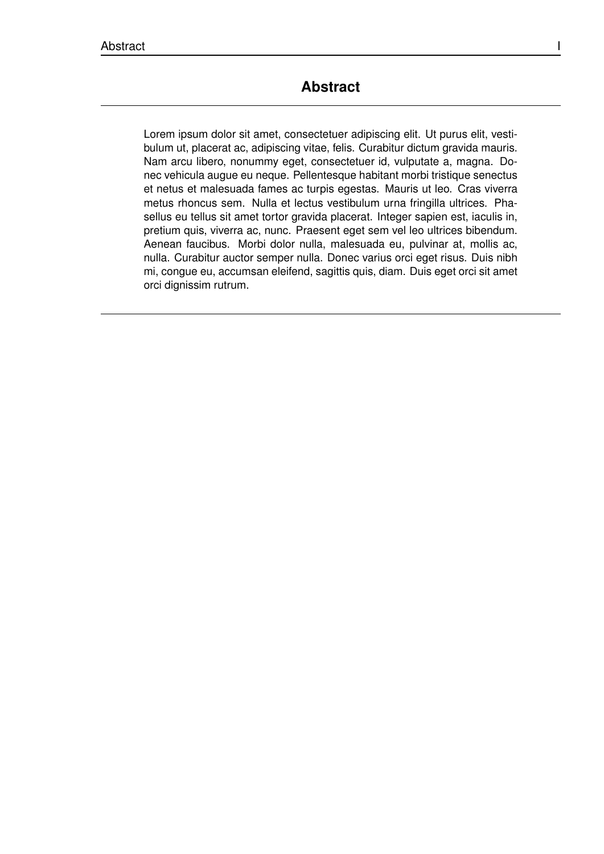## **Abstract**

Lorem ipsum dolor sit amet, consectetuer adipiscing elit. Ut purus elit, vestibulum ut, placerat ac, adipiscing vitae, felis. Curabitur dictum gravida mauris. Nam arcu libero, nonummy eget, consectetuer id, vulputate a, magna. Donec vehicula augue eu neque. Pellentesque habitant morbi tristique senectus et netus et malesuada fames ac turpis egestas. Mauris ut leo. Cras viverra metus rhoncus sem. Nulla et lectus vestibulum urna fringilla ultrices. Phasellus eu tellus sit amet tortor gravida placerat. Integer sapien est, iaculis in, pretium quis, viverra ac, nunc. Praesent eget sem vel leo ultrices bibendum. Aenean faucibus. Morbi dolor nulla, malesuada eu, pulvinar at, mollis ac, nulla. Curabitur auctor semper nulla. Donec varius orci eget risus. Duis nibh mi, congue eu, accumsan eleifend, sagittis quis, diam. Duis eget orci sit amet orci dignissim rutrum.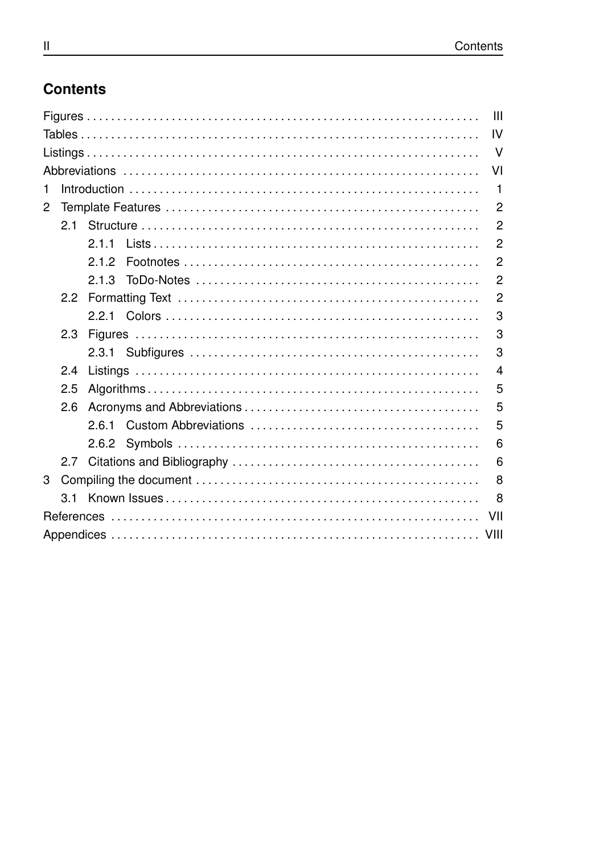# **Contents**

|                |     |       | $\mathbf{III}$ |
|----------------|-----|-------|----------------|
|                |     |       | $\mathsf{IV}$  |
|                |     |       | $\vee$         |
|                |     |       | V <sub>l</sub> |
| 1              |     |       | $\mathbf{1}$   |
| $\overline{2}$ |     |       | $\overline{2}$ |
|                | 2.1 |       | $\overline{2}$ |
|                |     | 2.1.1 | $\overline{2}$ |
|                |     | 2.1.2 | $\overline{2}$ |
|                |     | 2.1.3 | $\overline{2}$ |
|                |     |       | $\overline{2}$ |
|                |     |       | 3              |
|                | 2.3 |       | 3              |
|                |     |       | 3              |
|                | 2.4 |       | $\overline{4}$ |
|                | 2.5 |       | 5              |
|                | 2.6 |       | 5              |
|                |     | 2.6.1 | 5              |
|                |     |       | 6              |
|                |     |       | 6              |
| 3              |     |       | 8              |
|                | 3.1 |       | 8              |
|                |     |       | - VII          |
|                |     |       |                |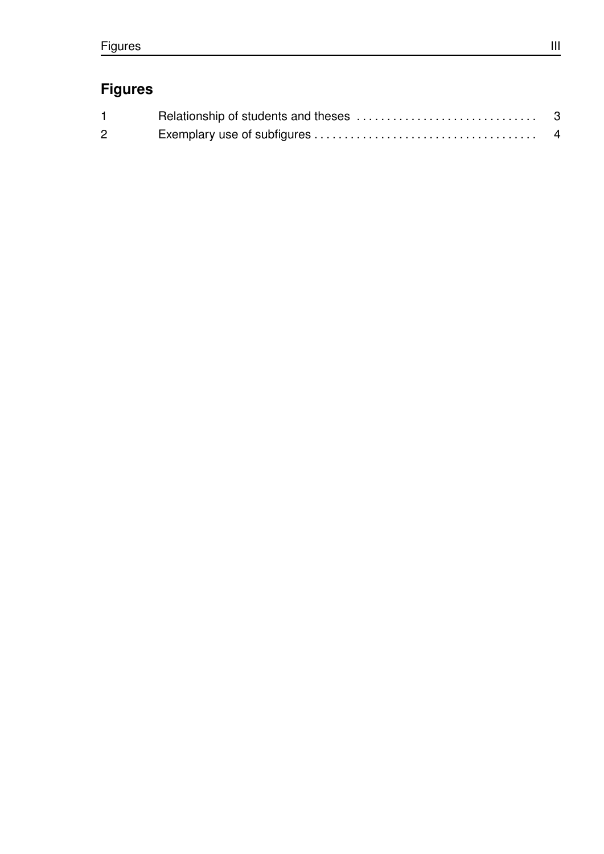# <span id="page-4-0"></span>**Figures**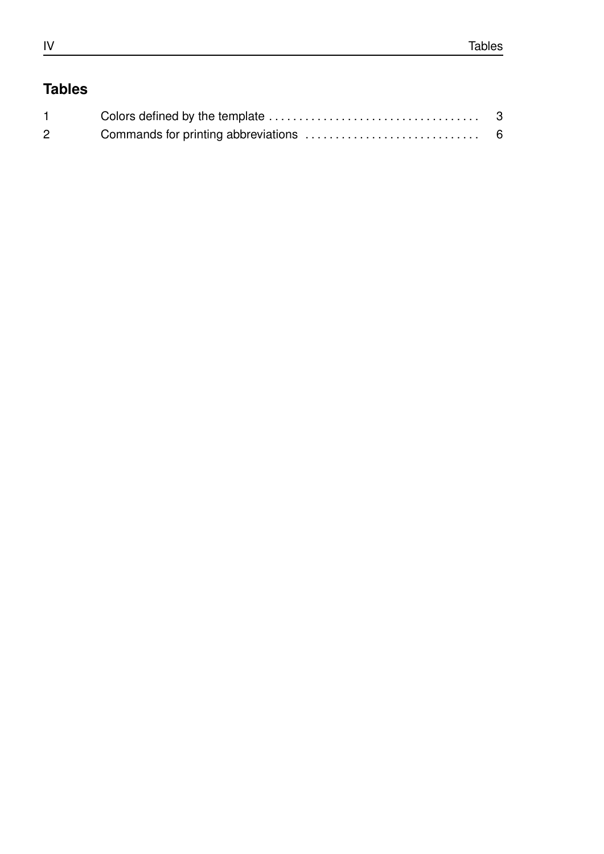# <span id="page-5-0"></span>**Tables**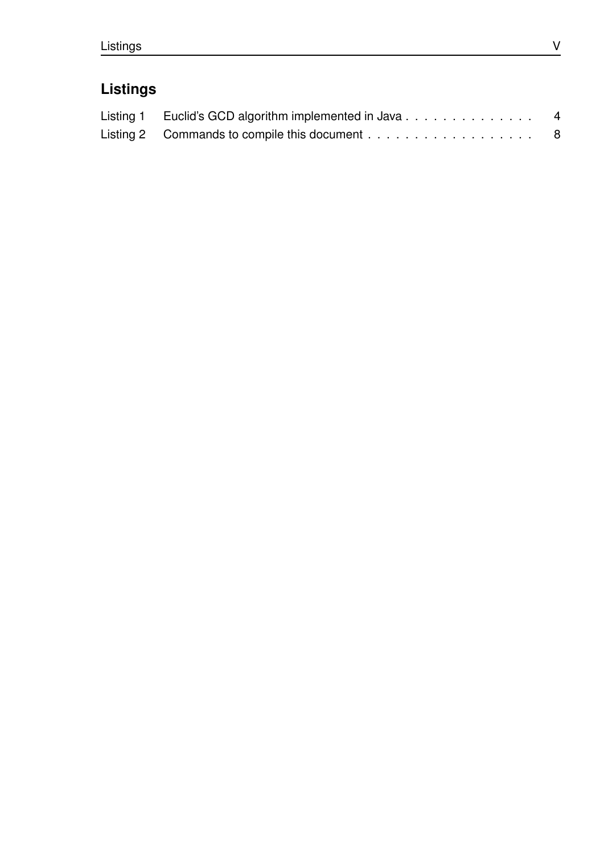# <span id="page-6-0"></span>**Listings**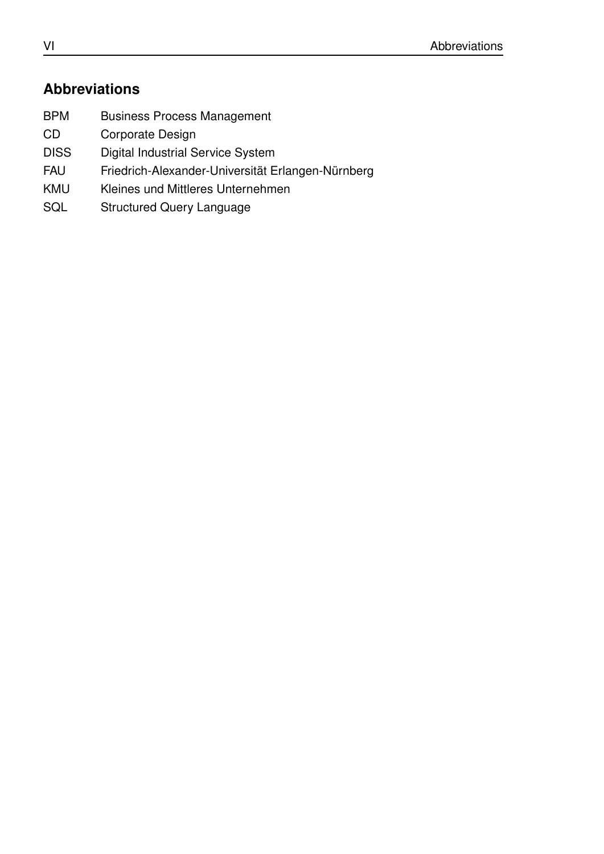# <span id="page-7-0"></span>**Abbreviations**

- <span id="page-7-6"></span>BPM Business Process Management
- <span id="page-7-2"></span>CD Corporate Design
- <span id="page-7-4"></span>DISS Digital Industrial Service System
- <span id="page-7-1"></span>FAU Friedrich-Alexander-Universität Erlangen-Nürnberg
- <span id="page-7-5"></span>KMU Kleines und Mittleres Unternehmen
- <span id="page-7-3"></span>SQL Structured Query Language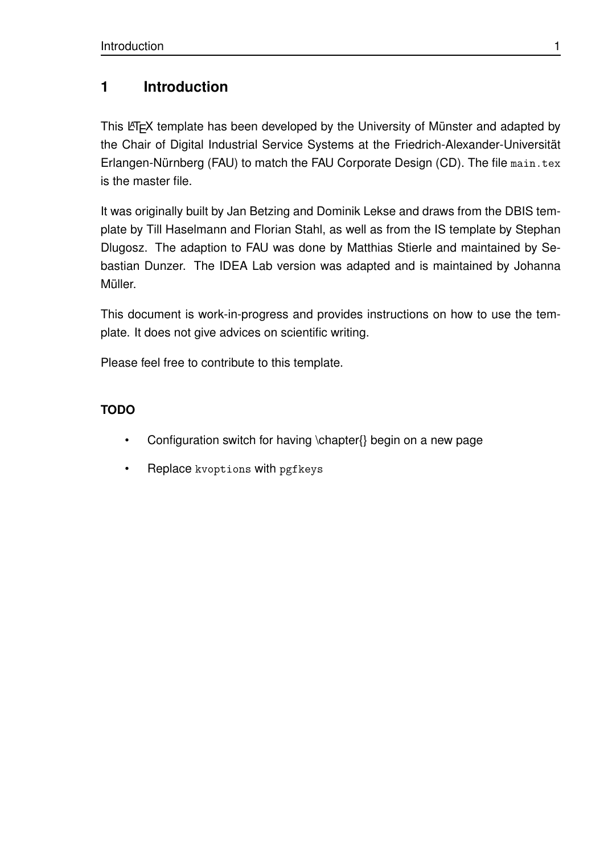## <span id="page-8-0"></span>**1 Introduction**

This LATEX template has been developed by the University of Münster and adapted by the Chair of Digital Industrial Service Systems at the [Friedrich-Alexander-Universität](#page-7-1) [Erlangen-Nürnberg \(FAU\)](#page-7-1) to match the [FAU](#page-7-1) [Corporate Design \(CD\).](#page-7-2) The file main.tex is the master file.

It was originally built by Jan Betzing and Dominik Lekse and draws from the DBIS template by Till Haselmann and Florian Stahl, as well as from the IS template by Stephan Dlugosz. The adaption to FAU was done by Matthias Stierle and maintained by Sebastian Dunzer. The IDEA Lab version was adapted and is maintained by Johanna Müller.

This document is work-in-progress and provides instructions on how to use the template. It does not give advices on scientific writing.

Please feel free to contribute to this template.

### **TODO**

- Configuration switch for having \chapter{} begin on a new page
- Replace kvoptions with pgfkeys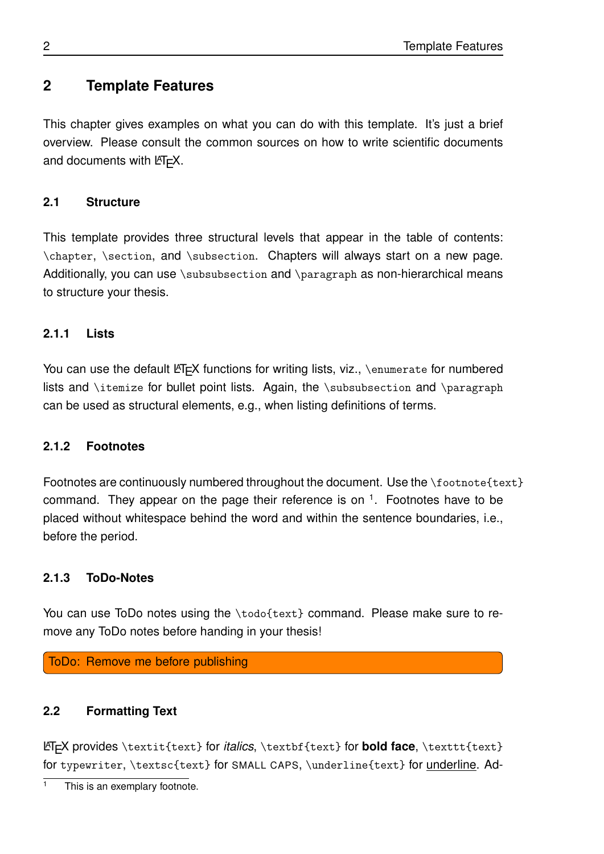## <span id="page-9-0"></span>**2 Template Features**

This chapter gives examples on what you can do with this template. It's just a brief overview. Please consult the common sources on how to write scientific documents and documents with  $\text{ETr}X$ .

### <span id="page-9-1"></span>**2.1 Structure**

This template provides three structural levels that appear in the table of contents: \chapter, \section, and \subsection. Chapters will always start on a new page. Additionally, you can use \subsubsection and \paragraph as non-hierarchical means to structure your thesis.

### <span id="page-9-2"></span>**2.1.1 Lists**

You can use the default  $\langle \text{L}F_F \rangle$  functions for writing lists, viz., \enumerate for numbered lists and \itemize for bullet point lists. Again, the \subsubsection and \paragraph can be used as structural elements, e.g., when listing definitions of terms.

### <span id="page-9-3"></span>**2.1.2 Footnotes**

Footnotes are continuously numbered throughout the document. Use the \footnote{text} command. They appear on the page their reference is on  $1$ . Footnotes have to be placed without whitespace behind the word and within the sentence boundaries, i.e., before the period.

### <span id="page-9-4"></span>**2.1.3 ToDo-Notes**

You can use ToDo notes using the \todo{text} command. Please make sure to remove any ToDo notes before handing in your thesis!

ToDo: Remove me before publishing

### <span id="page-9-5"></span>**2.2 Formatting Text**

LATEX provides \textit{text} for *italics*, \textbf{text} for **bold face**, \texttt{text} for typewriter, \textsc{text} for SMALL CAPS, \underline{text} for underline. Ad-

 $\overline{1}$  This is an exemplary footnote.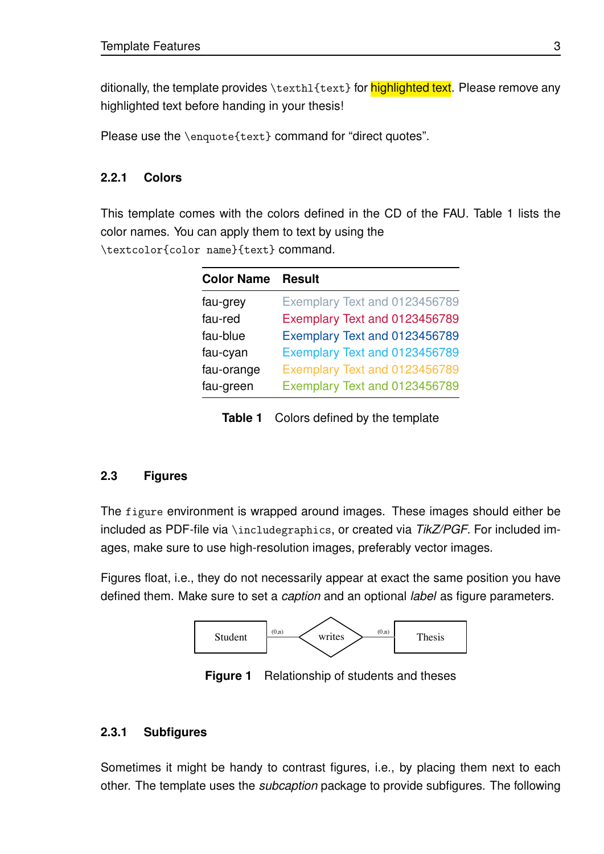ditionally, the template provides \texthl{text} for **highlighted text**. Please remove any highlighted text before handing in your thesis!

Please use the \enquote{text} command for "direct quotes".

#### <span id="page-10-0"></span>**2.2.1 Colors**

<span id="page-10-4"></span>This template comes with the colors defined in the [CD](#page-7-2) of the [FAU.](#page-7-1) Table [1](#page-10-4) lists the color names. You can apply them to text by using the \textcolor{color name}{text} command.

| <b>Color Name</b> | <b>Result</b>                 |
|-------------------|-------------------------------|
| fau-grey          | Exemplary Text and 0123456789 |
| fau-red           | Exemplary Text and 0123456789 |
| fau-blue          | Exemplary Text and 0123456789 |
| fau-cyan          | Exemplary Text and 0123456789 |
| fau-orange        | Exemplary Text and 0123456789 |
| fau-green         | Exemplary Text and 0123456789 |

**Table 1** Colors defined by the template

#### <span id="page-10-1"></span>**2.3 Figures**

The figure environment is wrapped around images. These images should either be included as PDF-file via \includegraphics, or created via *TikZ/PGF*. For included images, make sure to use high-resolution images, preferably vector images.

<span id="page-10-3"></span>Figures float, i.e., they do not necessarily appear at exact the same position you have defined them. Make sure to set a *caption* and an optional *label* as figure parameters.



**Figure 1** Relationship of students and theses

#### <span id="page-10-2"></span>**2.3.1 Subfigures**

Sometimes it might be handy to contrast figures, i.e., by placing them next to each other. The template uses the *subcaption* package to provide subfigures. The following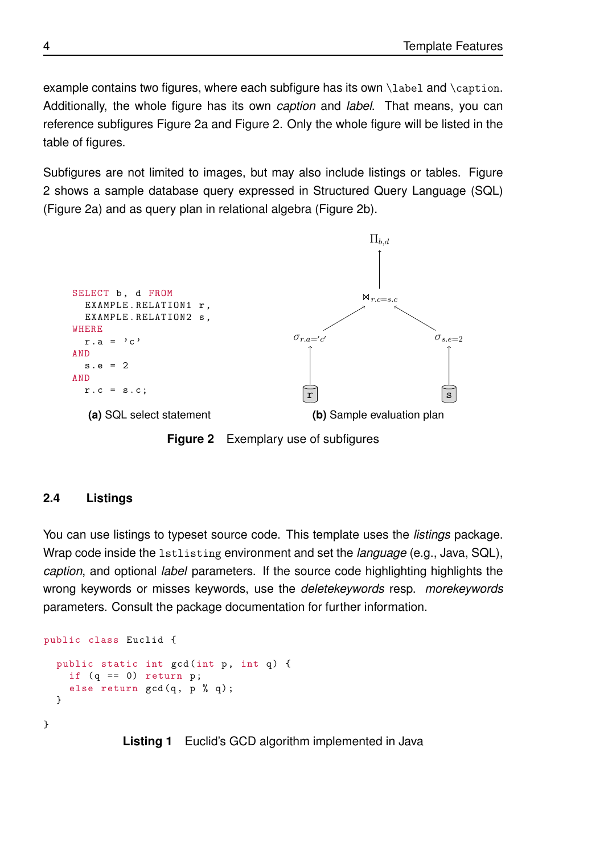example contains two figures, where each subfigure has its own \label and \caption. Additionally, the whole figure has its own *caption* and *label*. That means, you can reference subfigures Figure [2a](#page-11-1) and Figure [2.](#page-11-1) Only the whole figure will be listed in the table of figures.

Subfigures are not limited to images, but may also include listings or tables. Figure [2](#page-11-1) shows a sample database query expressed in [Structured Query Language \(SQL\)](#page-7-3) (Figure [2a\)](#page-11-1) and as query plan in relational algebra (Figure [2b\)](#page-11-1).

<span id="page-11-1"></span>

#### <span id="page-11-0"></span>**2.4 Listings**

You can use listings to typeset source code. This template uses the *listings* package. Wrap code inside the lstlisting environment and set the *language* (e.g., Java, SQL), *caption*, and optional *label* parameters. If the source code highlighting highlights the wrong keywords or misses keywords, use the *deletekeywords* resp. *morekeywords* parameters. Consult the package documentation for further information.

```
public class Euclid {
  public static int gcd (int p, int q) {
    if (q == 0) return p;
    else return gcd(q, p % q);
  }
}
```
**Listing 1** Euclid's GCD algorithm implemented in Java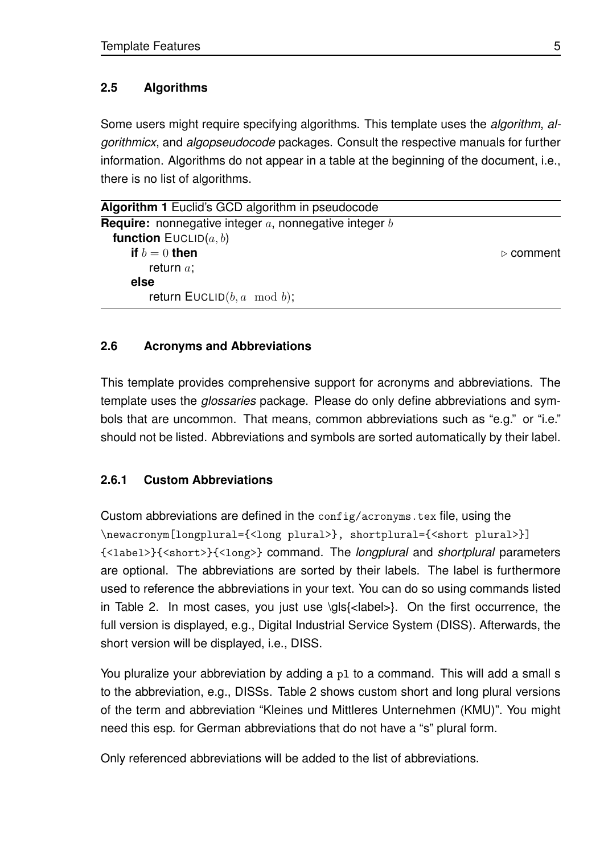### <span id="page-12-0"></span>**2.5 Algorithms**

Some users might require specifying algorithms. This template uses the *algorithm*, *algorithmicx*, and *algopseudocode* packages. Consult the respective manuals for further information. Algorithms do not appear in a table at the beginning of the document, i.e., there is no list of algorithms.

| <b>Algorithm 1</b> Euclid's GCD algorithm in pseudocode           |                          |
|-------------------------------------------------------------------|--------------------------|
| <b>Require:</b> nonnegative integer $a$ , nonnegative integer $b$ |                          |
| <b>function</b> $\text{EUCLID}(a, b)$                             |                          |
| if $b=0$ then                                                     | $\triangleright$ comment |
| return $a$ ;                                                      |                          |
| else                                                              |                          |
| return $\textsf{EUCLID}(b, a \mod b);$                            |                          |
|                                                                   |                          |

#### <span id="page-12-1"></span>**2.6 Acronyms and Abbreviations**

This template provides comprehensive support for acronyms and abbreviations. The template uses the *glossaries* package. Please do only define abbreviations and symbols that are uncommon. That means, common abbreviations such as "e.g." or "i.e." should not be listed. Abbreviations and symbols are sorted automatically by their label.

#### <span id="page-12-2"></span>**2.6.1 Custom Abbreviations**

Custom abbreviations are defined in the config/acronyms.tex file, using the \newacronym[longplural={<long plural>}, shortplural={<short plural>}] {<label>}{<short>}{<long>} command. The *longplural* and *shortplural* parameters are optional. The abbreviations are sorted by their labels. The label is furthermore used to reference the abbreviations in your text. You can do so using commands listed in Table [2.](#page-13-2) In most cases, you just use \gls{<label>}. On the first occurrence, the full version is displayed, e.g., [Digital Industrial Service System \(DISS\).](#page-7-4) Afterwards, the short version will be displayed, i.e., [DISS.](#page-7-4)

You pluralize your abbreviation by adding a p1 to a command. This will add a small s to the abbreviation, e.g., [DISSs.](#page-7-4) Table [2](#page-13-2) shows custom short and long plural versions of the term and abbreviation ["Kleines und Mittleres Unternehmen \(KMU\)"](#page-7-5). You might need this esp. for German abbreviations that do not have a "s" plural form.

Only referenced abbreviations will be added to the list of abbreviations.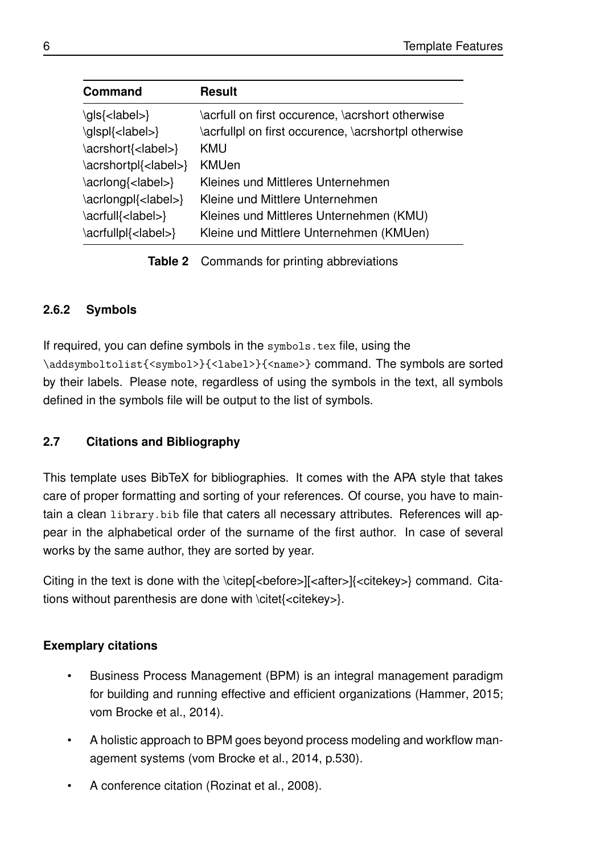<span id="page-13-2"></span>

| <b>Command</b>                | <b>Result</b>                                        |
|-------------------------------|------------------------------------------------------|
| \gls{ <label>}</label>        | \acrfull on first occurence, \acrshort otherwise     |
| \glspl{ <label>}</label>      | \acrfullpl on first occurence, \acrshortpl otherwise |
| \acrshort{ <label>}</label>   | KMU                                                  |
| \acrshortpl{ <label>}</label> | <b>KMUen</b>                                         |
| \acriong{ <label>}</label>    | Kleines und Mittleres Unternehmen                    |
| \acriongpl{ <label>}</label>  | Kleine und Mittlere Unternehmen                      |
| \acrfull{ <label>}</label>    | Kleines und Mittleres Unternehmen (KMU)              |
| \acrfullpl{ <label>}</label>  | Kleine und Mittlere Unternehmen (KMUen)              |

**Table 2** Commands for printing abbreviations

### <span id="page-13-0"></span>**2.6.2 Symbols**

If required, you can define symbols in the symbols.tex file, using the \addsymboltolist{<symbol>}{<label>}{<name>} command. The symbols are sorted by their labels. Please note, regardless of using the symbols in the text, all symbols defined in the symbols file will be output to the list of symbols.

#### <span id="page-13-1"></span>**2.7 Citations and Bibliography**

This template uses BibTeX for bibliographies. It comes with the APA style that takes care of proper formatting and sorting of your references. Of course, you have to maintain a clean library.bib file that caters all necessary attributes. References will appear in the alphabetical order of the surname of the first author. In case of several works by the same author, they are sorted by year.

Citing in the text is done with the \citep[<before>][<after>]{<citekey>} command. Citations without parenthesis are done with \citet{<citekey>}.

#### **Exemplary citations**

- [Business Process Management \(BPM\)](#page-7-6) is an integral management paradigm for building and running effective and efficient organizations (Hammer, [2015;](#page-16-0) vom Brocke et al., [2014\)](#page-16-1).
- A holistic approach to [BPM](#page-7-6) goes beyond process modeling and workflow management systems (vom Brocke et al., [2014,](#page-16-1) p.530).
- A conference citation (Rozinat et al., [2008\)](#page-16-2).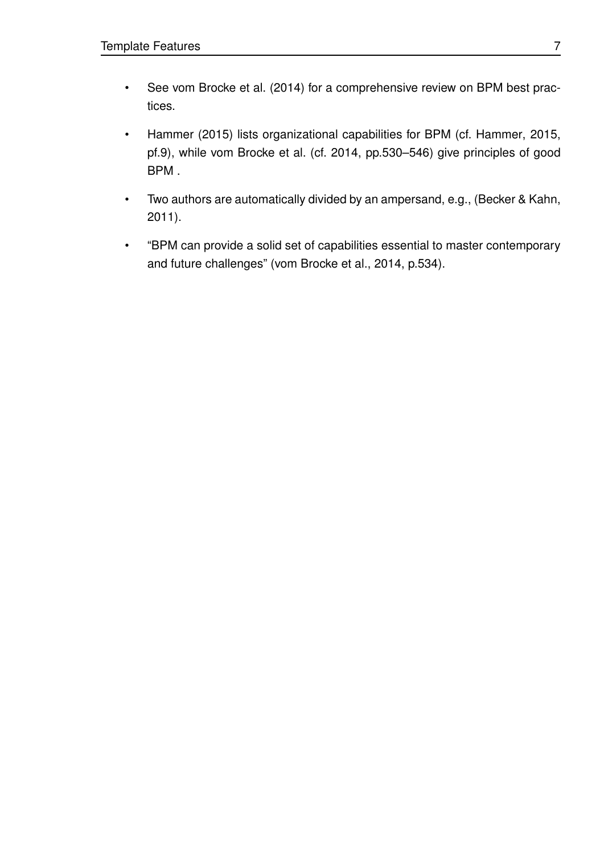- See vom Brocke et al. [\(2014\)](#page-16-1) for a comprehensive review on [BPM](#page-7-6) best practices.
- Hammer [\(2015\)](#page-16-0) lists organizational capabilities for [BPM](#page-7-6) (cf. Hammer, [2015,](#page-16-0) pf.9), while vom Brocke et al. (cf. [2014,](#page-16-1) pp.530–546) give principles of good [BPM](#page-7-6) .
- Two authors are automatically divided by an ampersand, e.g., (Becker & Kahn, [2011\)](#page-16-3).
- ["BPM](#page-7-6) can provide a solid set of capabilities essential to master contemporary and future challenges" (vom Brocke et al., [2014,](#page-16-1) p.534).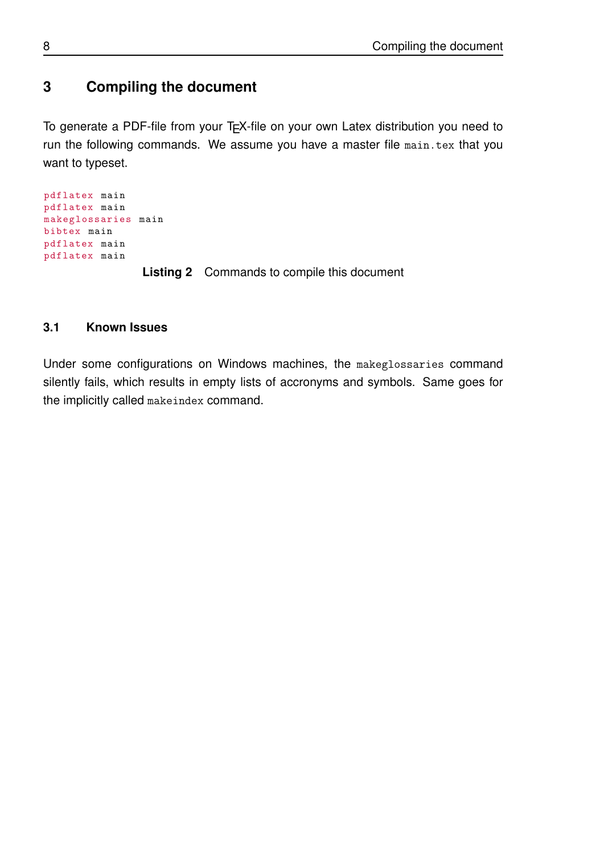## <span id="page-15-0"></span>**3 Compiling the document**

To generate a PDF-file from your T<sub>F</sub>X-file on your own Latex distribution you need to run the following commands. We assume you have a master file main.tex that you want to typeset.

```
pdflatex main
pdflatex main
makeglossaries main
bibtex main
pdflatex main
pdflatex main
                Listing 2 Commands to compile this document
```
#### <span id="page-15-1"></span>**3.1 Known Issues**

Under some configurations on Windows machines, the makeglossaries command silently fails, which results in empty lists of accronyms and symbols. Same goes for the implicitly called makeindex command.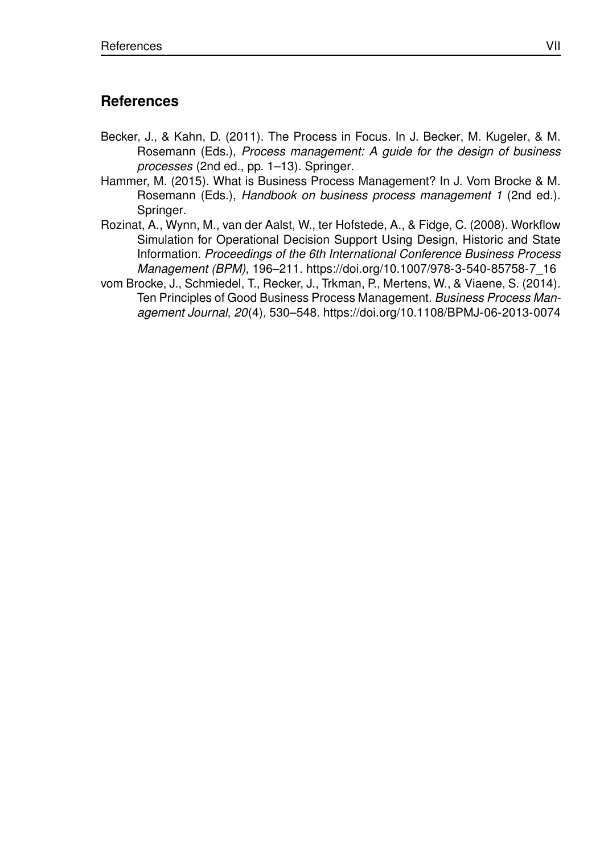## **References**

- <span id="page-16-3"></span>Becker, J., & Kahn, D. (2011). The Process in Focus. In J. Becker, M. Kugeler, & M. Rosemann (Eds.), *Process management: A guide for the design of business processes* (2nd ed., pp. 1–13). Springer.
- <span id="page-16-0"></span>Hammer, M. (2015). What is Business Process Management? In J. Vom Brocke & M. Rosemann (Eds.), *Handbook on business process management 1* (2nd ed.). Springer.
- <span id="page-16-2"></span>Rozinat, A., Wynn, M., van der Aalst, W., ter Hofstede, A., & Fidge, C. (2008). Workflow Simulation for Operational Decision Support Using Design, Historic and State Information. *Proceedings of the 6th International Conference Business Process Management (BPM)*, 196–211. [https://doi.org/10.1007/978-3-540-85758-7\\_16](https://doi.org/10.1007/978-3-540-85758-7_16)
- <span id="page-16-1"></span>vom Brocke, J., Schmiedel, T., Recker, J., Trkman, P., Mertens, W., & Viaene, S. (2014). Ten Principles of Good Business Process Management. *Business Process Management Journal*, *20*(4), 530–548.<https://doi.org/10.1108/BPMJ-06-2013-0074>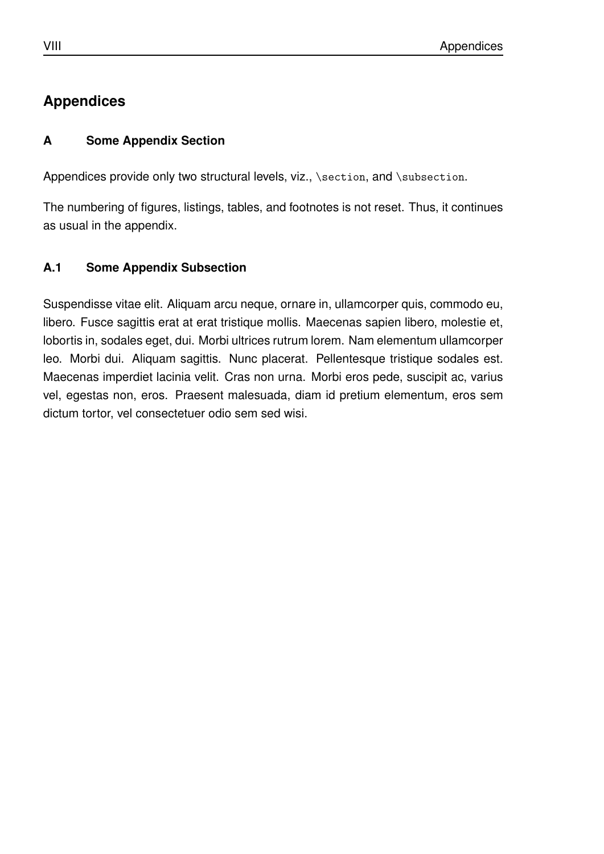# <span id="page-17-0"></span>**Appendices**

## **A Some Appendix Section**

Appendices provide only two structural levels, viz., \section, and \subsection.

The numbering of figures, listings, tables, and footnotes is not reset. Thus, it continues as usual in the appendix.

## **A.1 Some Appendix Subsection**

Suspendisse vitae elit. Aliquam arcu neque, ornare in, ullamcorper quis, commodo eu, libero. Fusce sagittis erat at erat tristique mollis. Maecenas sapien libero, molestie et, lobortis in, sodales eget, dui. Morbi ultrices rutrum lorem. Nam elementum ullamcorper leo. Morbi dui. Aliquam sagittis. Nunc placerat. Pellentesque tristique sodales est. Maecenas imperdiet lacinia velit. Cras non urna. Morbi eros pede, suscipit ac, varius vel, egestas non, eros. Praesent malesuada, diam id pretium elementum, eros sem dictum tortor, vel consectetuer odio sem sed wisi.